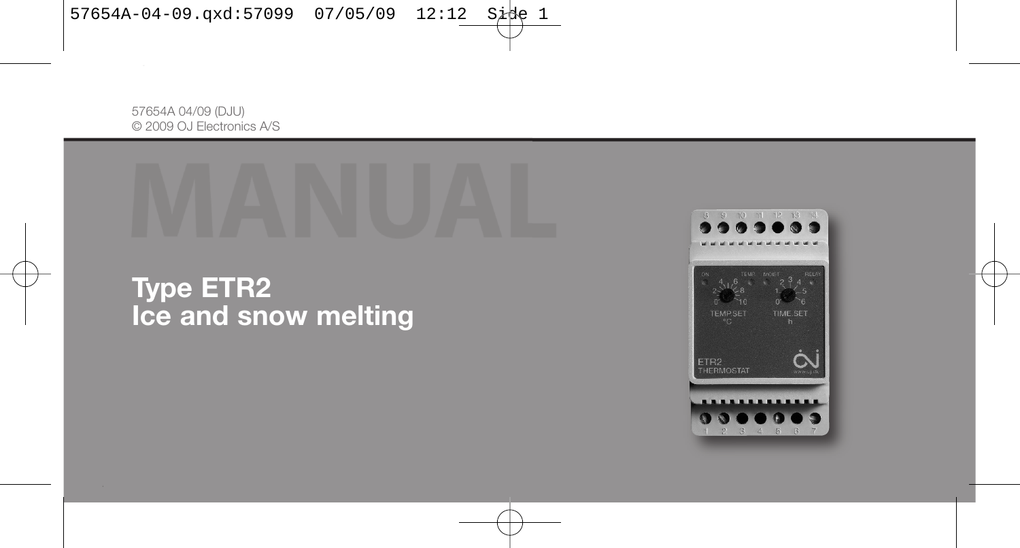57654A 04/09 (DJU) © 2009 OJ Electronics A/S



**Type ETR2 Ice and snow melting**

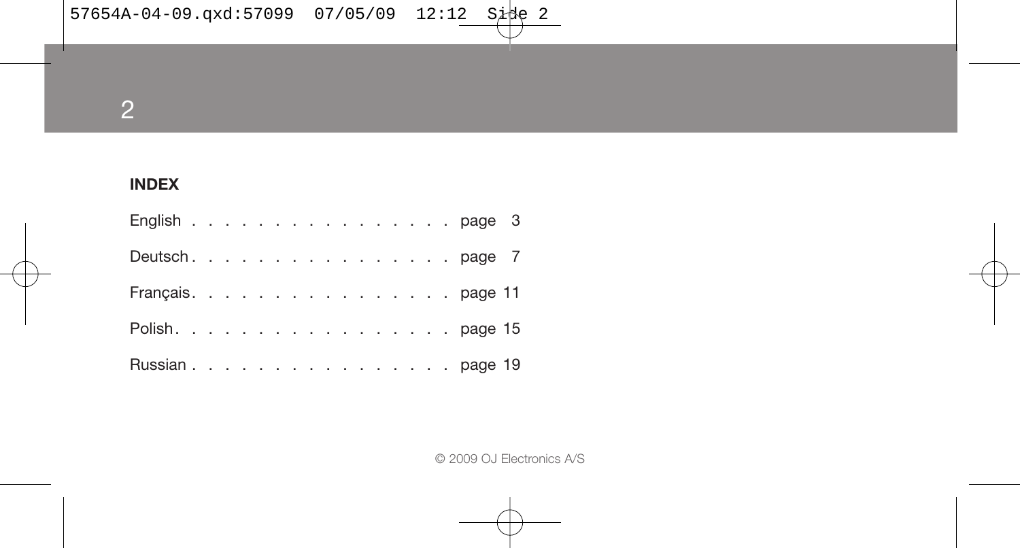2

# **INDEX**

| English page 3    |  |  |  |  |  |  |  |  |  |
|-------------------|--|--|--|--|--|--|--|--|--|
| Deutsch. page 7   |  |  |  |  |  |  |  |  |  |
| Français. page 11 |  |  |  |  |  |  |  |  |  |
| Polish. page 15   |  |  |  |  |  |  |  |  |  |
| Russian page 19   |  |  |  |  |  |  |  |  |  |

© 2009 OJ Electronics A/S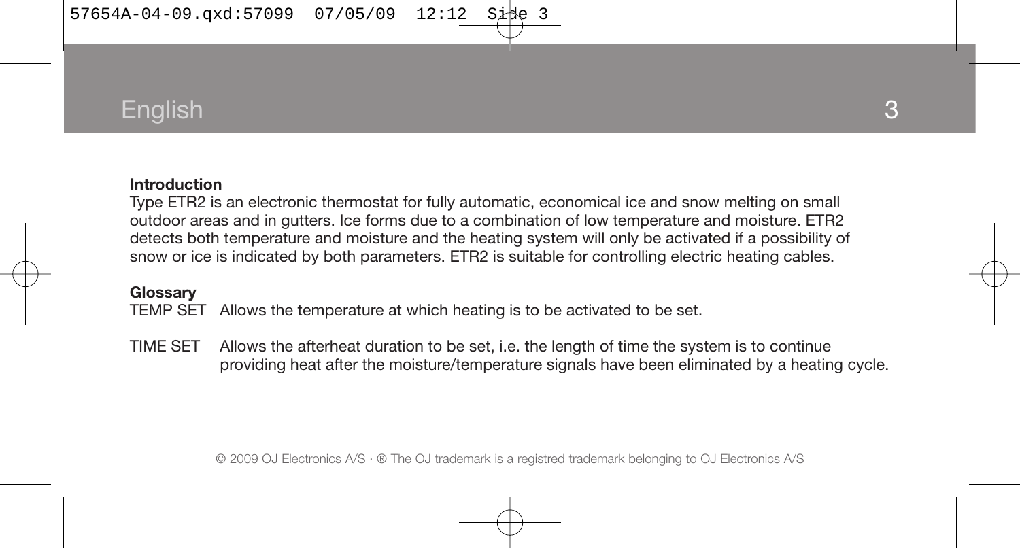57654A-04-09.qxd:57099 07/05/09 12:12

# English

#### **Introduction**

Type ETR2 is an electronic thermostat for fully automatic, economical ice and snow melting on small outdoor areas and in gutters. Ice forms due to a combination of low temperature and moisture. ETR2 detects both temperature and moisture and the heating system will only be activated if a possibility of snow or ice is indicated by both parameters. ETR2 is suitable for controlling electric heating cables.

#### **Glossary**

TEMP SET Allows the temperature at which heating is to be activated to be set.

TIME SET Allows the afterheat duration to be set, i.e. the length of time the system is to continue providing heat after the moisture/temperature signals have been eliminated by a heating cycle.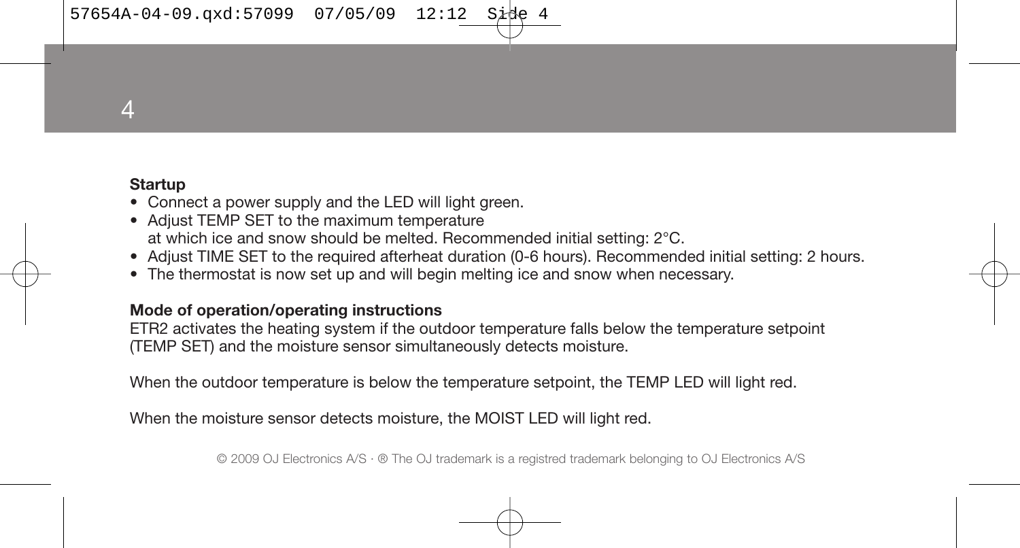57654A-04-09.qxd:57099 07/05/09 12:12

4

### **Startup**

- Connect a power supply and the LED will light green.
- Adjust TEMP SET to the maximum temperature at which ice and snow should be melted. Recommended initial setting: 2°C.
- Adjust TIME SET to the required afterheat duration (0-6 hours). Recommended initial setting: 2 hours.
- The thermostat is now set up and will begin melting ice and snow when necessary.

#### **Mode of operation/operating instructions**

ETR2 activates the heating system if the outdoor temperature falls below the temperature setpoint (TEMP SET) and the moisture sensor simultaneously detects moisture.

When the outdoor temperature is below the temperature setpoint, the TEMP LED will light red.

When the moisture sensor detects moisture, the MOIST LED will light red.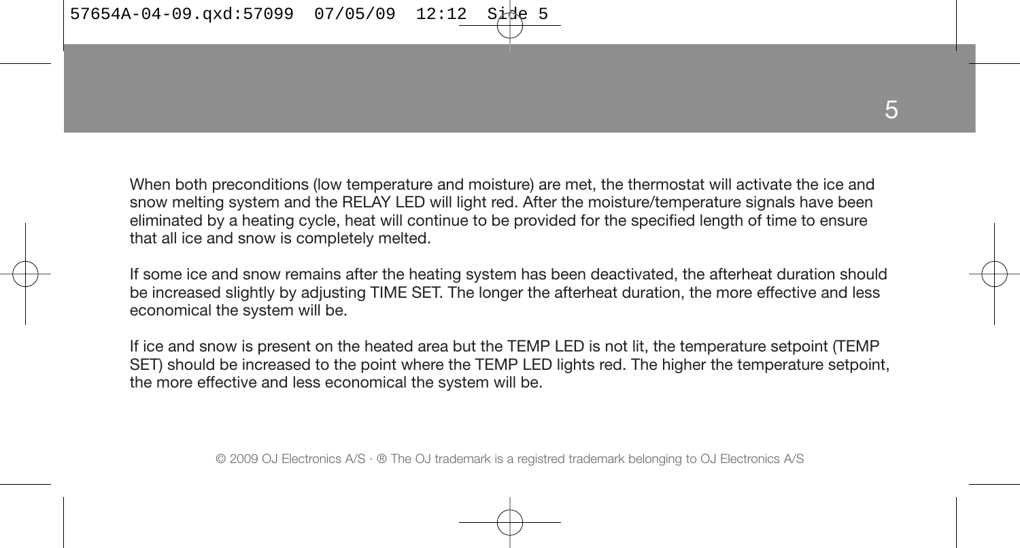When both preconditions (low temperature and moisture) are met, the thermostat will activate the ice and snow melting system and the RELAY LED will light red. After the moisture/temperature signals have been eliminated by a heating cycle, heat will continue to be provided for the specified length of time to ensure that all ice and snow is completely melted.

If some ice and snow remains after the heating system has been deactivated, the afterheat duration should be increased slightly by adjusting TIME SET. The longer the afterheat duration, the more effective and less economical the system will be.

If ice and snow is present on the heated area but the TEMP LED is not lit, the temperature setpoint (TEMP SET) should be increased to the point where the TEMP LED lights red. The higher the temperature setpoint, the more effective and less economical the system will be.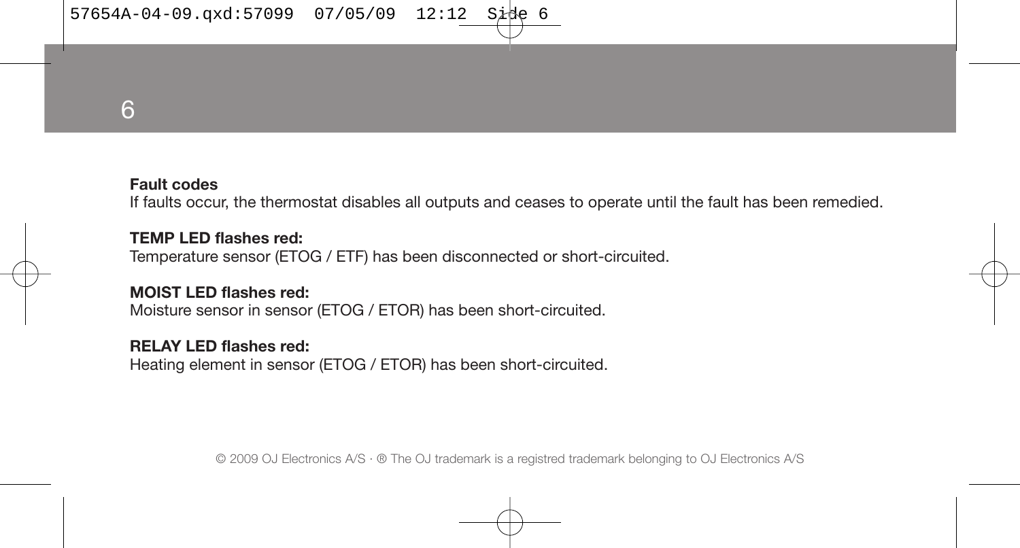$57654A-04-09.\text{qxd}:57099$  07/05/09 12:12 Sit

6

### **Fault codes**

If faults occur, the thermostat disables all outputs and ceases to operate until the fault has been remedied.

**TEMP LED flashes red:** Temperature sensor (ETOG / ETF) has been disconnected or short-circuited.

**MOIST LED flashes red:** Moisture sensor in sensor (ETOG / ETOR) has been short-circuited.

#### **RELAY LED flashes red:**

Heating element in sensor (ETOG / ETOR) has been short-circuited.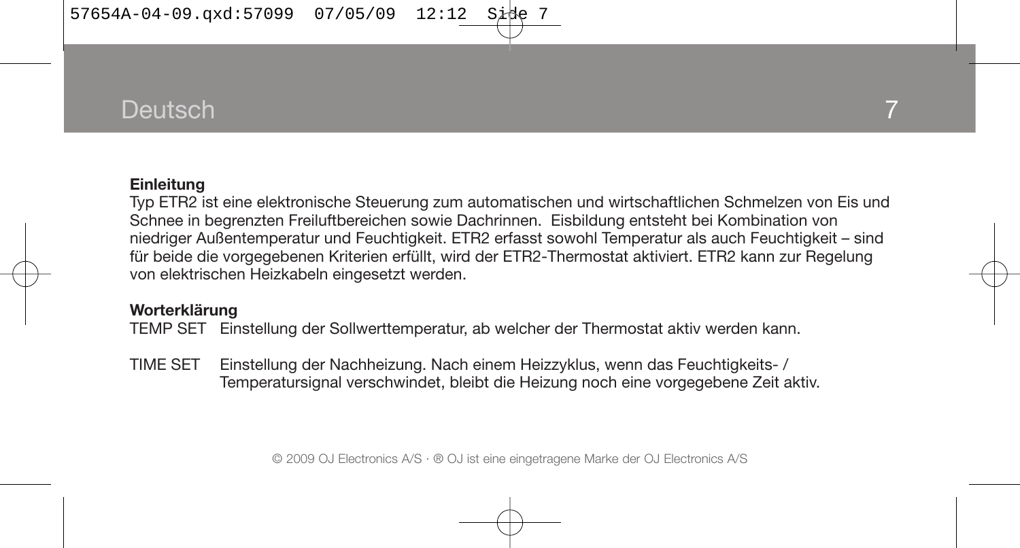# **Deutsch**

#### **Einleitung**

Typ ETR2 ist eine elektronische Steuerung zum automatischen und wirtschaftlichen Schmelzen von Eis und Schnee in begrenzten Freiluftbereichen sowie Dachrinnen. Eisbildung entsteht bei Kombination von niedriger Außentemperatur und Feuchtigkeit. ETR2 erfasst sowohl Temperatur als auch Feuchtigkeit – sind für beide die vorgegebenen Kriterien erfüllt, wird der ETR2-Thermostat aktiviert. ETR2 kann zur Regelung von elektrischen Heizkabeln eingesetzt werden.

#### **Worterklärung**

TEMP SET Einstellung der Sollwerttemperatur, ab welcher der Thermostat aktiv werden kann.

TIME SET Einstellung der Nachheizung. Nach einem Heizzyklus, wenn das Feuchtigkeits- / Temperatursignal verschwindet, bleibt die Heizung noch eine vorgegebene Zeit aktiv.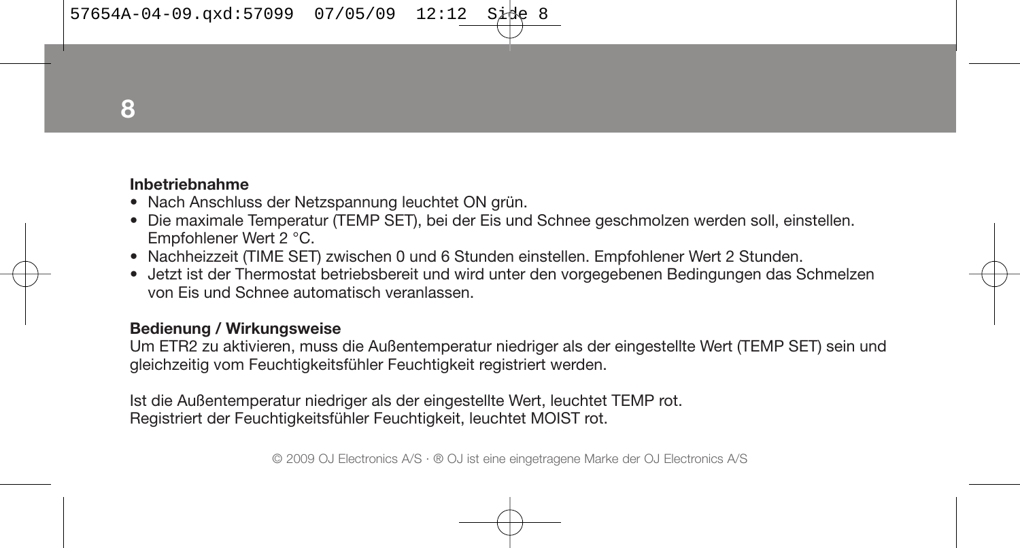$57654A-04-09.\text{axd}:57099 \quad 07/05/09 \quad 12:12$ 

**8**

#### **Inbetriebnahme**

- Nach Anschluss der Netzspannung leuchtet ON grün.
- Die maximale Temperatur (TEMP SET), bei der Eis und Schnee geschmolzen werden soll, einstellen. Empfohlener Wert 2 °C.
- Nachheizzeit (TIME SET) zwischen 0 und 6 Stunden einstellen. Empfohlener Wert 2 Stunden.
- Jetzt ist der Thermostat betriebsbereit und wird unter den vorgegebenen Bedingungen das Schmelzen von Eis und Schnee automatisch veranlassen.

#### **Bedienung / Wirkungsweise**

Um ETR2 zu aktivieren, muss die Außentemperatur niedriger als der eingestellte Wert (TEMP SET) sein und gleichzeitig vom Feuchtigkeitsfühler Feuchtigkeit registriert werden.

Ist die Außentemperatur niedriger als der eingestellte Wert, leuchtet TEMP rot. Registriert der Feuchtigkeitsfühler Feuchtigkeit, leuchtet MOIST rot.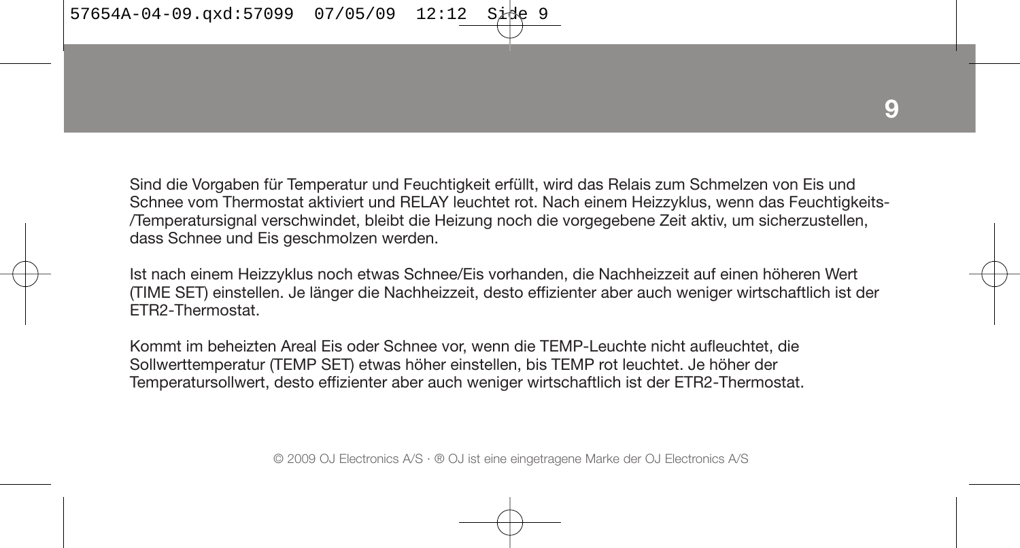Sind die Vorgaben für Temperatur und Feuchtigkeit erfüllt, wird das Relais zum Schmelzen von Eis und Schnee vom Thermostat aktiviert und RELAY leuchtet rot. Nach einem Heizzyklus, wenn das Feuchtigkeits- /Temperatursignal verschwindet, bleibt die Heizung noch die vorgegebene Zeit aktiv, um sicherzustellen, dass Schnee und Eis geschmolzen werden.

Ist nach einem Heizzyklus noch etwas Schnee/Eis vorhanden, die Nachheizzeit auf einen höheren Wert (TIME SET) einstellen. Je länger die Nachheizzeit, desto effizienter aber auch weniger wirtschaftlich ist der ETR2-Thermostat.

Kommt im beheizten Areal Eis oder Schnee vor, wenn die TEMP-Leuchte nicht aufleuchtet, die Sollwerttemperatur (TEMP SET) etwas höher einstellen, bis TEMP rot leuchtet. Je höher der Temperatursollwert, desto effizienter aber auch weniger wirtschaftlich ist der ETR2-Thermostat.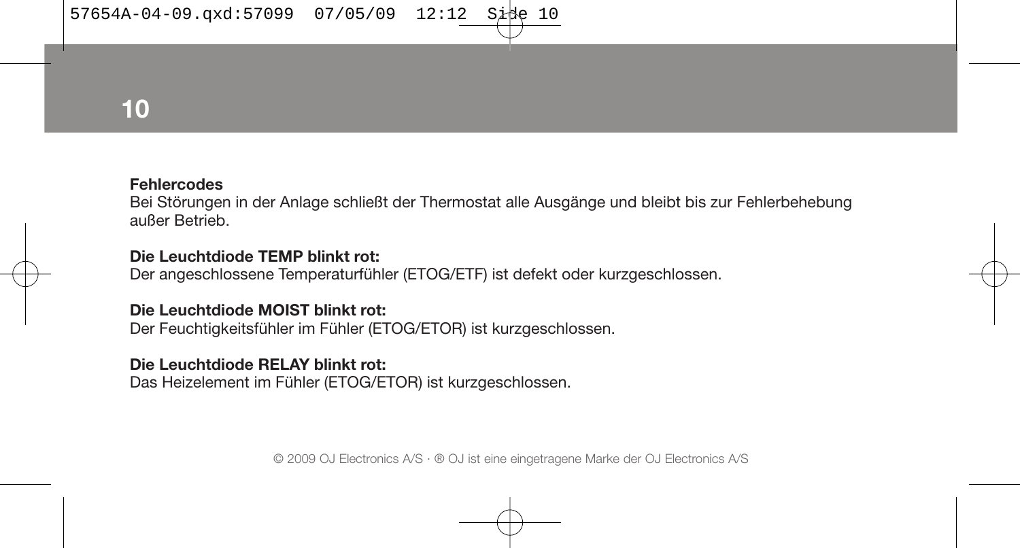# **10**

#### **Fehlercodes**

Bei Störungen in der Anlage schließt der Thermostat alle Ausgänge und bleibt bis zur Fehlerbehebung außer Betrieb.

#### **Die Leuchtdiode TEMP blinkt rot:**

Der angeschlossene Temperaturfühler (ETOG/ETF) ist defekt oder kurzgeschlossen.

#### **Die Leuchtdiode MOIST blinkt rot:**

Der Feuchtigkeitsfühler im Fühler (ETOG/ETOR) ist kurzgeschlossen.

#### **Die Leuchtdiode RELAY blinkt rot:**

Das Heizelement im Fühler (ETOG/ETOR) ist kurzgeschlossen.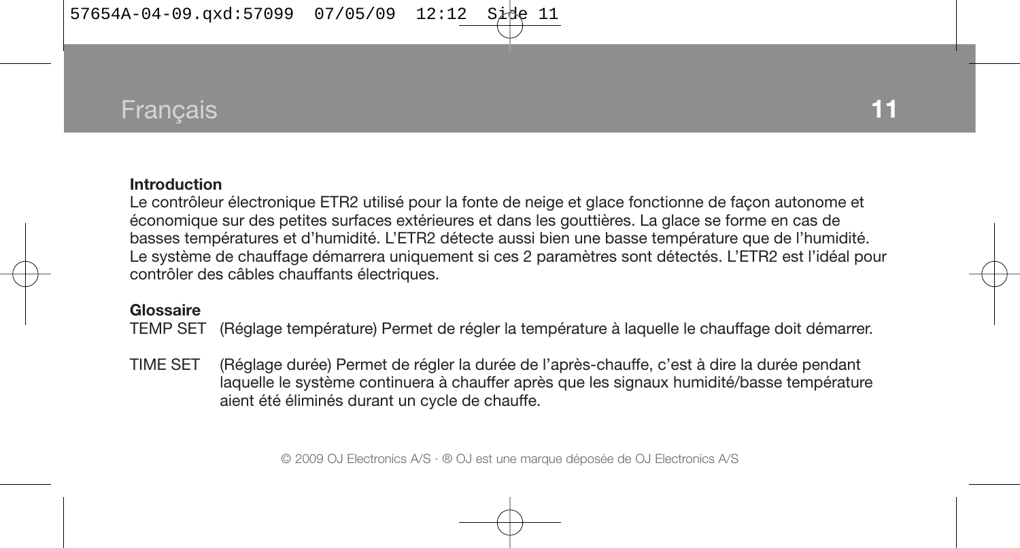# Français **11**

#### **Introduction**

Le contrôleur électronique ETR2 utilisé pour la fonte de neige et glace fonctionne de façon autonome et économique sur des petites surfaces extérieures et dans les gouttières. La glace se forme en cas de basses températures et d'humidité. L'ETR2 détecte aussi bien une basse température que de l'humidité. Le système de chauffage démarrera uniquement si ces 2 paramètres sont détectés. L'ETR2 est l'idéal pour contrôler des câbles chauffants électriques.

#### **Glossaire**

TEMP SET (Réglage température) Permet de régler la température à laquelle le chauffage doit démarrer.

TIME SET (Réglage durée) Permet de régler la durée de l'après-chauffe, c'est à dire la durée pendant laquelle le système continuera à chauffer après que les signaux humidité/basse température aient été éliminés durant un cycle de chauffe.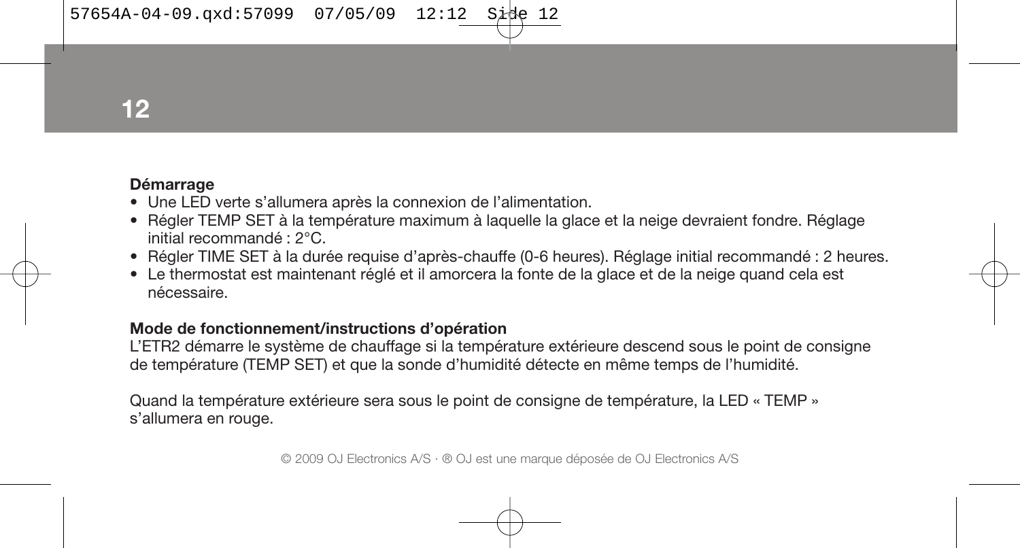**12**

### **Démarrage**

- Une LED verte s'allumera après la connexion de l'alimentation.
- Régler TEMP SET à la température maximum à laquelle la glace et la neige devraient fondre. Réglage initial recommandé : 2°C.
- Régler TIME SET à la durée requise d'après-chauffe (0-6 heures). Réglage initial recommandé : 2 heures.
- Le thermostat est maintenant réglé et il amorcera la fonte de la glace et de la neige quand cela est nécessaire.

#### **Mode de fonctionnement/instructions d'opération**

L'ETR2 démarre le système de chauffage si la température extérieure descend sous le point de consigne de température (TEMP SET) et que la sonde d'humidité détecte en même temps de l'humidité.

Quand la température extérieure sera sous le point de consigne de température, la LED « TEMP » s'allumera en rouge.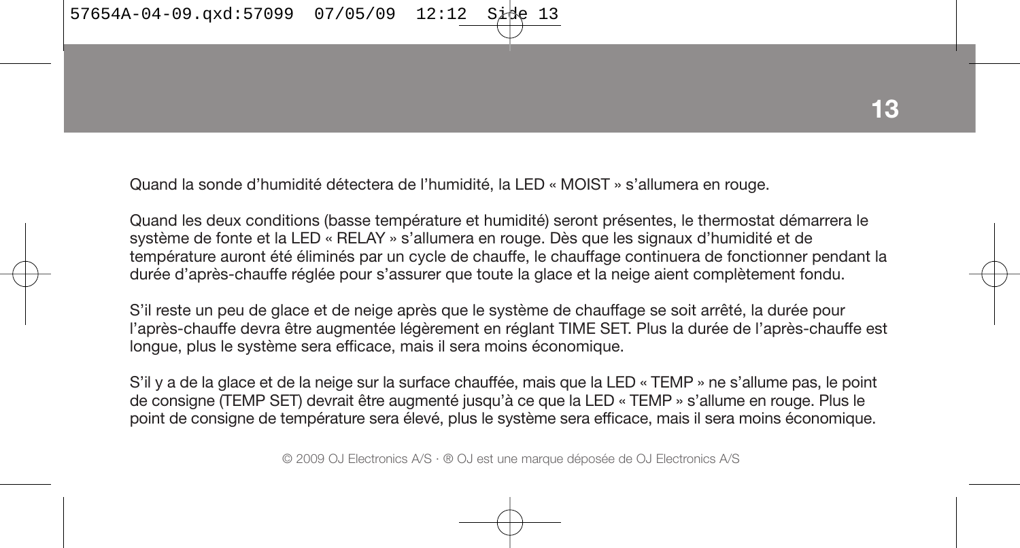$57654A-04-09.\text{axd}:57099 \quad 07/05/09 \quad 12:12$ 

Quand la sonde d'humidité détectera de l'humidité, la LED « MOIST » s'allumera en rouge.

Quand les deux conditions (basse température et humidité) seront présentes, le thermostat démarrera le système de fonte et la LED « RELAY » s'allumera en rouge. Dès que les signaux d'humidité et de température auront été éliminés par un cycle de chauffe, le chauffage continuera de fonctionner pendant la durée d'après-chauffe réglée pour s'assurer que toute la glace et la neige aient complètement fondu.

S'il reste un peu de glace et de neige après que le système de chauffage se soit arrêté, la durée pour l'après-chauffe devra être augmentée légèrement en réglant TIME SET. Plus la durée de l'après-chauffe est longue, plus le système sera efficace, mais il sera moins économique.

S'il y a de la glace et de la neige sur la surface chauffée, mais que la LED « TEMP » ne s'allume pas, le point de consigne (TEMP SET) devrait être augmenté jusqu'à ce que la LED « TEMP » s'allume en rouge. Plus le point de consigne de température sera élevé, plus le système sera efficace, mais il sera moins économique.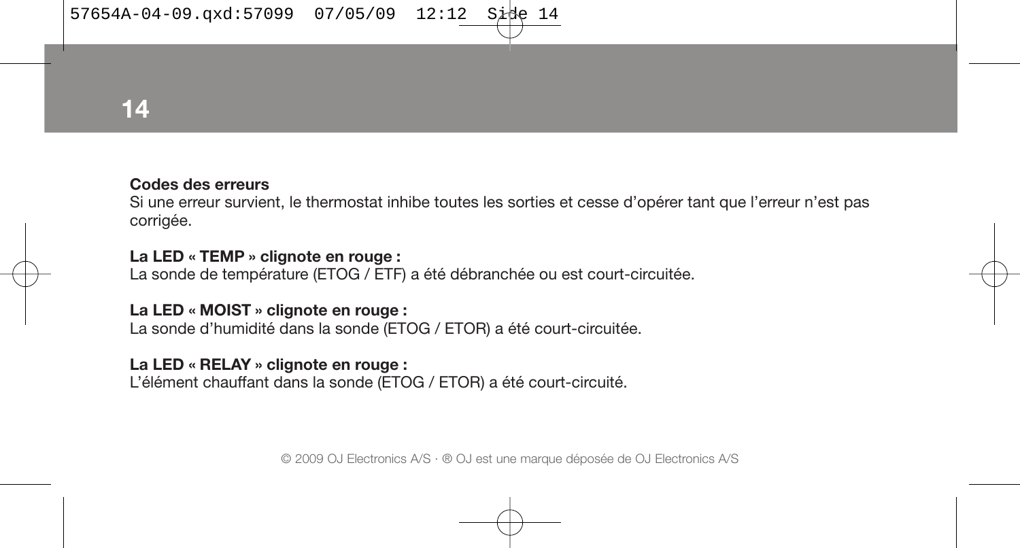**14**

#### **Codes des erreurs**

Si une erreur survient, le thermostat inhibe toutes les sorties et cesse d'opérer tant que l'erreur n'est pas corrigée.

### **La LED « TEMP » clignote en rouge :**

La sonde de température (ETOG / ETF) a été débranchée ou est court-circuitée.

#### **La LED « MOIST » clignote en rouge :**

La sonde d'humidité dans la sonde (ETOG / ETOR) a été court-circuitée.

#### **La LED « RELAY » clignote en rouge :**

L'élément chauffant dans la sonde (ETOG / ETOR) a été court-circuité.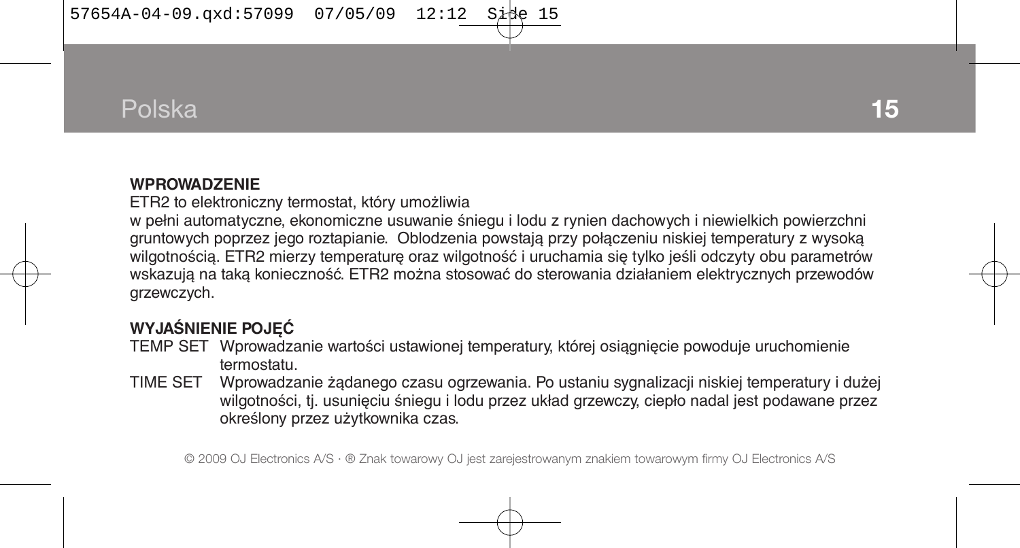# Polska

#### **WPROWADZENIE**

ETR2 to elektroniczny termostat, który umożliwia

w pełni automatyczne, ekonomiczne usuwanie śniegu i lodu z rynien dachowych i niewielkich powierzchni gruntowych poprzez jego roztapianie. Oblodzenia powstają przy połączeniu niskiej temperatury z wysoką wilgotnością. ETR2 mierzy temperaturę oraz wilgotność i uruchamia się tylko jeśli odczyty obu parametrów wskazują na taką konieczność. ETR2 można stosować do sterowania działaniem elektrycznych przewodów grzewczych.

# **WYJAŚNIENIE POJĘĆ**

- TEMP SET Wprowadzanie wartości ustawionej temperatury, której osiągnięcie powoduje uruchomienie termostatu.
- TIME SET Wprowadzanie żądanego czasu ogrzewania. Po ustaniu sygnalizacji niskiej temperatury i dużej wilgotności, tj. usunięciu śniegu i lodu przez układ grzewczy, ciepło nadal jest podawane przez określony przez użytkownika czas.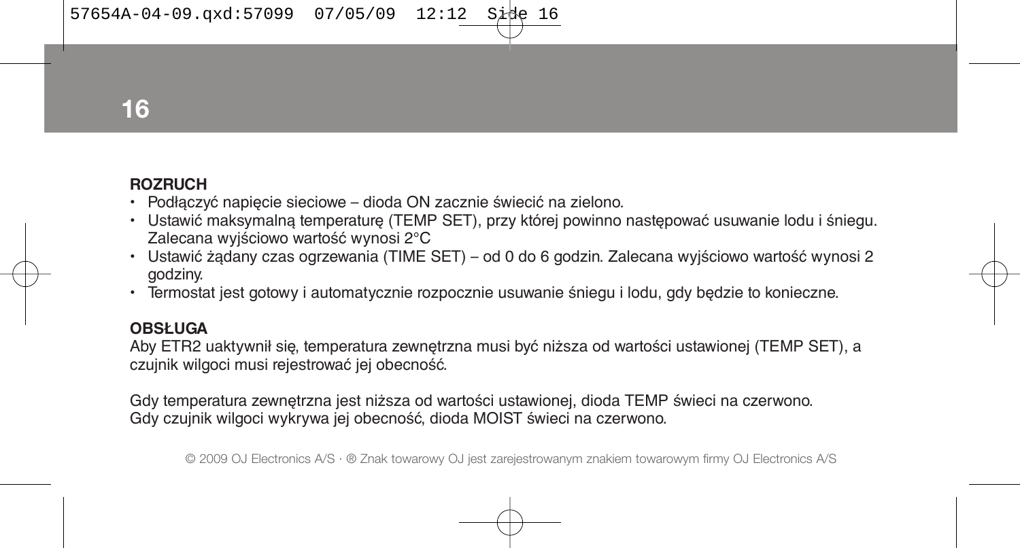$57654A-04-09.\text{axd}:57099$   $07/05/09$   $12:12$  Sit

**16**

### **ROZRUCH**

- Podłączyć napięcie sieciowe dioda ON zacznie świecić na zielono.
- Ustawić maksymalną temperaturę (TEMP SET), przy której powinno następować usuwanie lodu i śniegu. Zalecana wyjściowo wartość wynosi 2°C
- Ustawić żądany czas ogrzewania (TIME SET) od 0 do 6 godzin. Zalecana wyjściowo wartość wynosi 2 godziny.
- Termostat jest gotowy i automatycznie rozpocznie usuwanie śniegu i lodu, gdy będzie to konieczne.

# **OBSŁUGA**

Aby ETR2 uaktywnił się, temperatura zewnętrzna musi być niższa od wartości ustawionej (TEMP SET), a czujnik wilgoci musi rejestrować jej obecność.

Gdy temperatura zewnętrzna jest niższa od wartości ustawionej, dioda TEMP świeci na czerwono. Gdy czujnik wilgoci wykrywa jej obecność, dioda MOIST świeci na czerwono.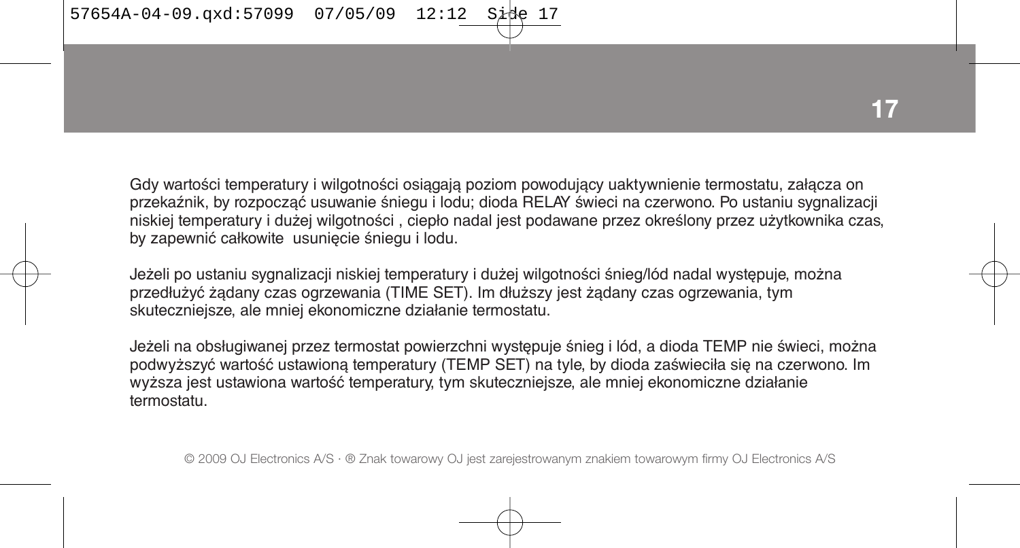Gdy wartości temperatury i wilgotności osiągają poziom powodujący uaktywnienie termostatu, załącza on przekaźnik, by rozpocząć usuwanie śniegu i lodu; dioda RELAY świeci na czerwono. Po ustaniu sygnalizacji niskiej temperatury i dużej wilgotności , ciepło nadal jest podawane przez określony przez użytkownika czas, by zapewnić całkowite usunięcie śniegu i lodu.

Jeżeli po ustaniu sygnalizacji niskiej temperatury i dużej wilgotności śnieg/lód nadal występuje, można przedłużyć żądany czas ogrzewania (TIME SET). Im dłuższy jest żądany czas ogrzewania, tym skuteczniejsze, ale mniej ekonomiczne działanie termostatu.

Jeżeli na obsługiwanej przez termostat powierzchni występuje śnieg i lód, a dioda TEMP nie świeci, można podwyższyć wartość ustawioną temperatury (TEMP SET) na tyle, by dioda zaświeciła się na czerwono. Im wyższa jest ustawiona wartość temperatury, tym skuteczniejsze, ale mniej ekonomiczne działanie termostatu.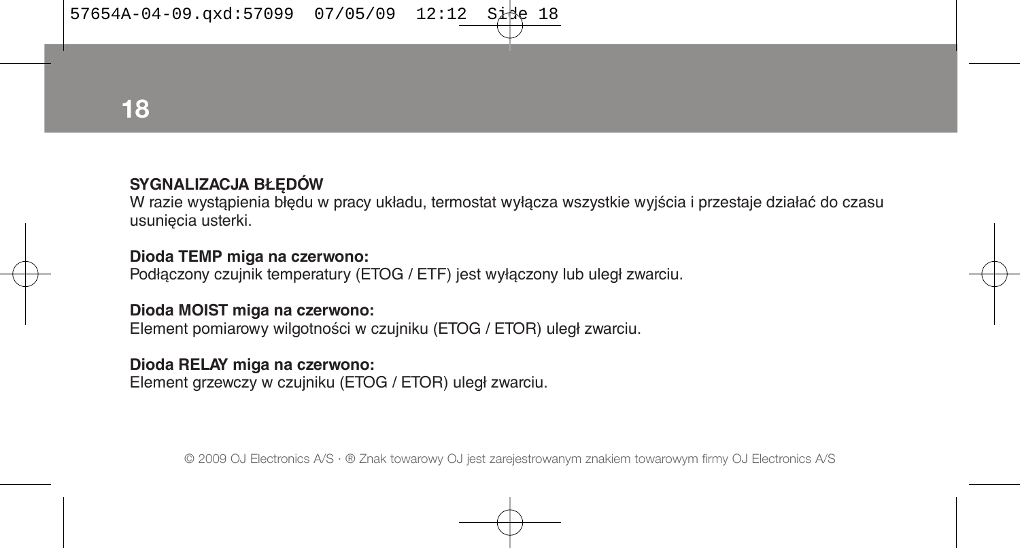**18**

# **SYGNALIZACJA BŁĘDÓW**

W razie wystąpienia błędu w pracy układu, termostat wyłącza wszystkie wyjścia i przestaje działać do czasu usunięcia usterki.

#### **Dioda TEMP miga na czerwono:**

Podłączony czujnik temperatury (ETOG / ETF) jest wyłączony lub uległ zwarciu.

#### **Dioda MOIST miga na czerwono:**

Element pomiarowy wilgotności w czujniku (ETOG / ETOR) uległ zwarciu.

#### **Dioda RELAY miga na czerwono:**

Element grzewczy w czujniku (ETOG / ETOR) uległ zwarciu.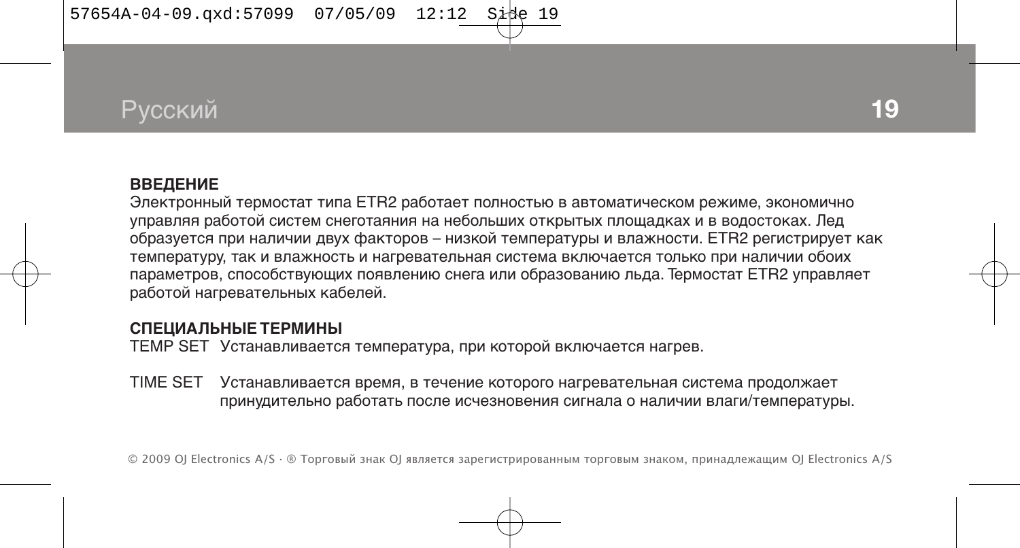$57654A-04-09.\text{axd}:57099$  07/05/09 12:12 Side

# Русский

#### **ВВЕДЕНИЕ**

Электронный термостат типа ETR2 работает полностью в автоматическом режиме, экономично управляя работой систем снеготаяния на небольших открытых площадках и в водостоках. Лед образуется при наличии двух факторов – низкой температуры и влажности. ETR2 регистрирует как температуру, так и влажность и нагревательная система включается только при наличии обоих параметров, способствующих появлению снега или образованию льда. Термостат ETR2 управляет работой нагревательных кабелей.

#### **СПЕЦИАЛЬНЫЕ ТЕРМИНЫ**

TEMP SET Устанавливается температура, при которой включается нагрев.

TIME SET Устанавливается время, в течение которого нагревательная система продолжает принудительно работать после исчезновения сигнала о наличии влаги/температуры.

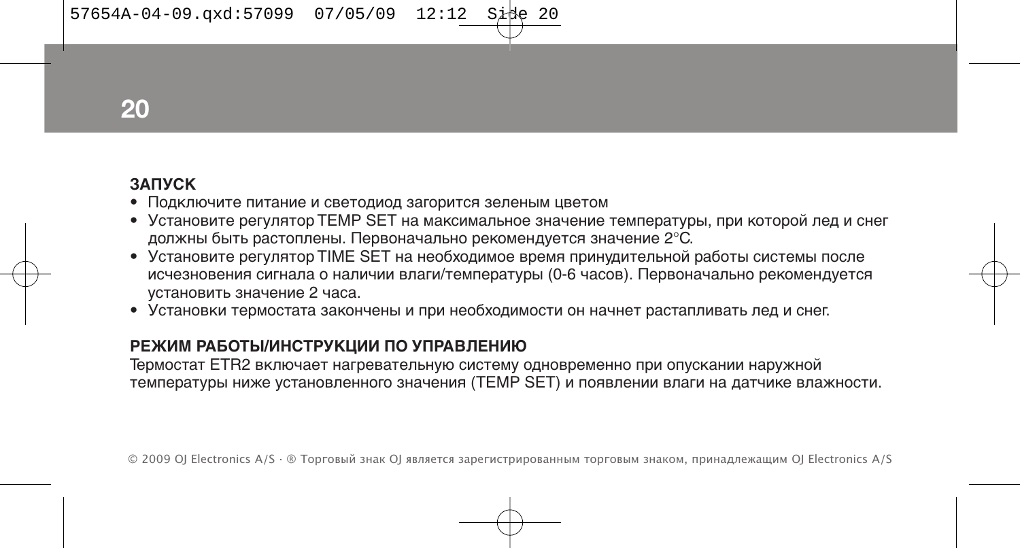**20**

### **ЗАПУСК**

- Подключите питание и светодиод загорится зеленым цветом
- Установите регулятор TEMP SET на максимальное значение температуры, при которой лед и снег должны быть растоплены. Первоначально рекомендуется значение 2°C.
- Установите регулятор TIME SET на необходимое время принудительной работы системы после исчезновения сигнала о наличии влаги/температуры (0-6 часов). Первоначально рекомендуется установить значение 2 часа.
- Установки термостата закончены и при необходимости он начнет растапливать лед и снег.

# **РЕЖИМ РАБОТЫ/ИНСТРУКЦИИ ПО УПРАВЛЕНИЮ**

Термостат ETR2 включает нагревательную систему одновременно при опускании наружной температуры ниже установленного значения (TEMP SET) и появлении влаги на датчике влажности.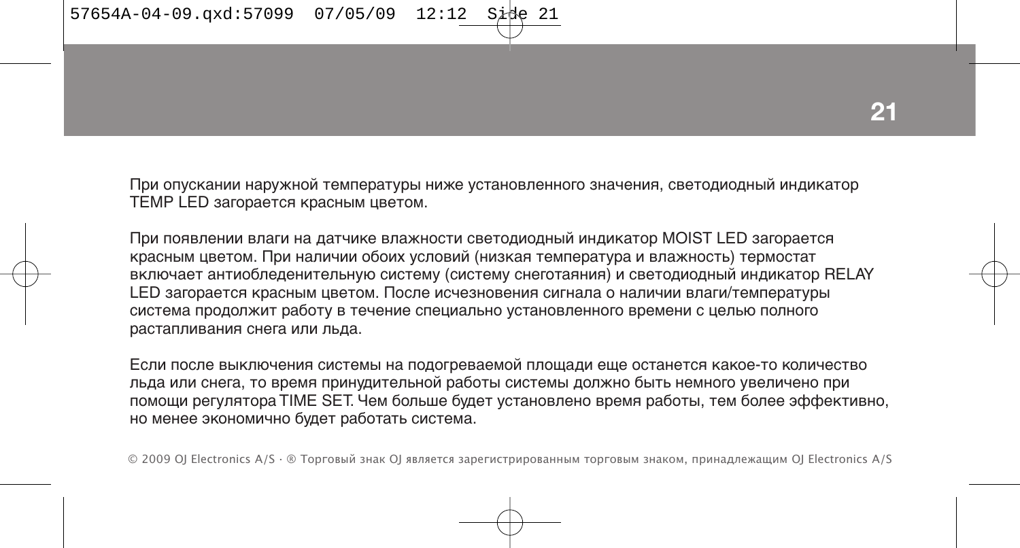При опускании наружной температуры ниже установленного значения, светодиодный индикатор TEMP LED загорается красным цветом.

При появлении влаги на датчике влажности светодиодный индикатор MOIST LED загорается красным цветом. При наличии обоих условий (низкая температура и влажность) термостат включает антиобледенительную систему (систему снеготаяния) и светодиодный индикатор RELAY LED загорается красным цветом. После исчезновения сигнала о наличии влаги/температуры система продолжит работу в течение специально установленного времени с целью полного растапливания снега или льда.

Если после выключения системы на подогреваемой площади еще останется какое-то количество льда или снега, то время принудительной работы системы должно быть немного увеличено при помощи регулятора TIME SET. Чем больше будет установлено время работы, тем более эффективно, но менее экономично будет работать система.

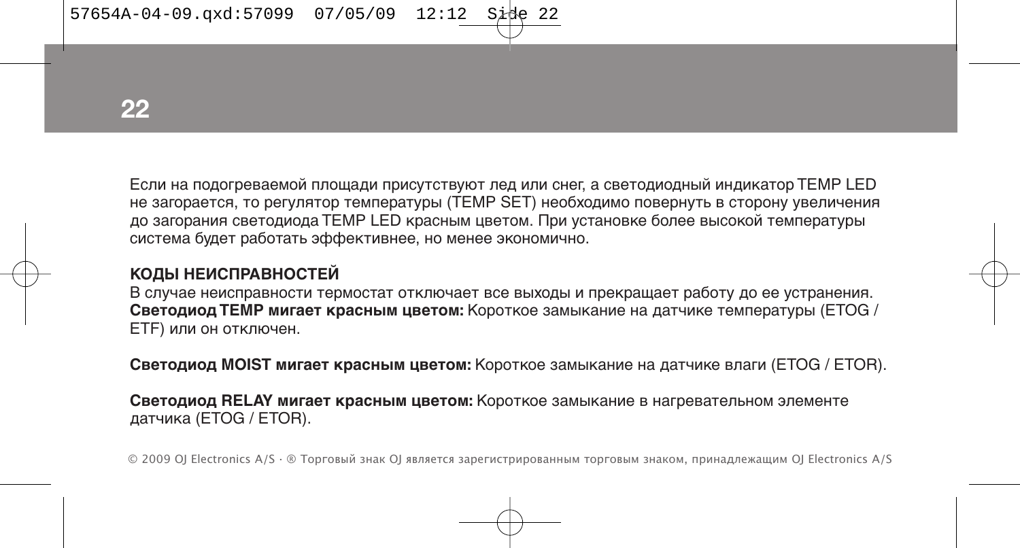$57654A-04-09.\text{axd}:57099$   $07/05/09$   $12:12$  Sit

**22**

Если на подогреваемой площади присутствуют лед или снег, а светодиодный индикатор TEMP LED не загорается, то регулятор температуры (TEMP SET) необходимо повернуть в сторону увеличения до загорания светодиода TEMP LED красным цветом. При установке более высокой температуры система будет работать эффективнее, но менее экономично.

# **КОДЫ НЕИСПРАВНОСТЕЙ**

В случае неисправности термостат отключает все выходы и прекращает работу до ее устранения. **Светодиод TEMP мигает красным цветом:** Короткое замыкание на датчике температуры (ETOG / ETF) или он отключен.

**Светодиод MOIST мигает красным цветом:** Короткое замыкание на датчике влаги (ETOG / ETOR).

**Светодиод RELAY мигает красным цветом:** Короткое замыкание в нагревательном элементе датчика (ETOG / ETOR).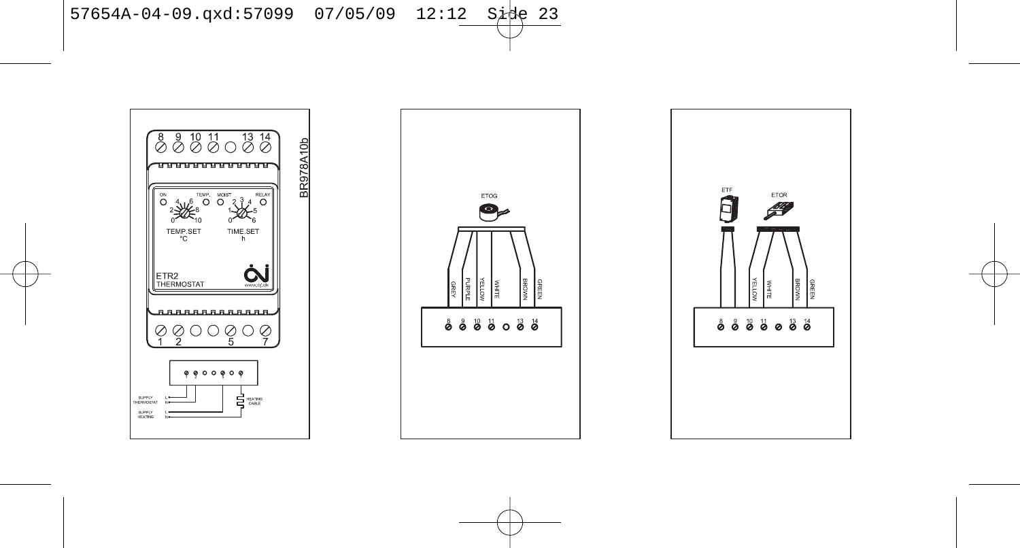$57654A-04-09.\text{qxd}:57099 \quad 07/05/09 \quad 12:12 \quad \text{Size}$